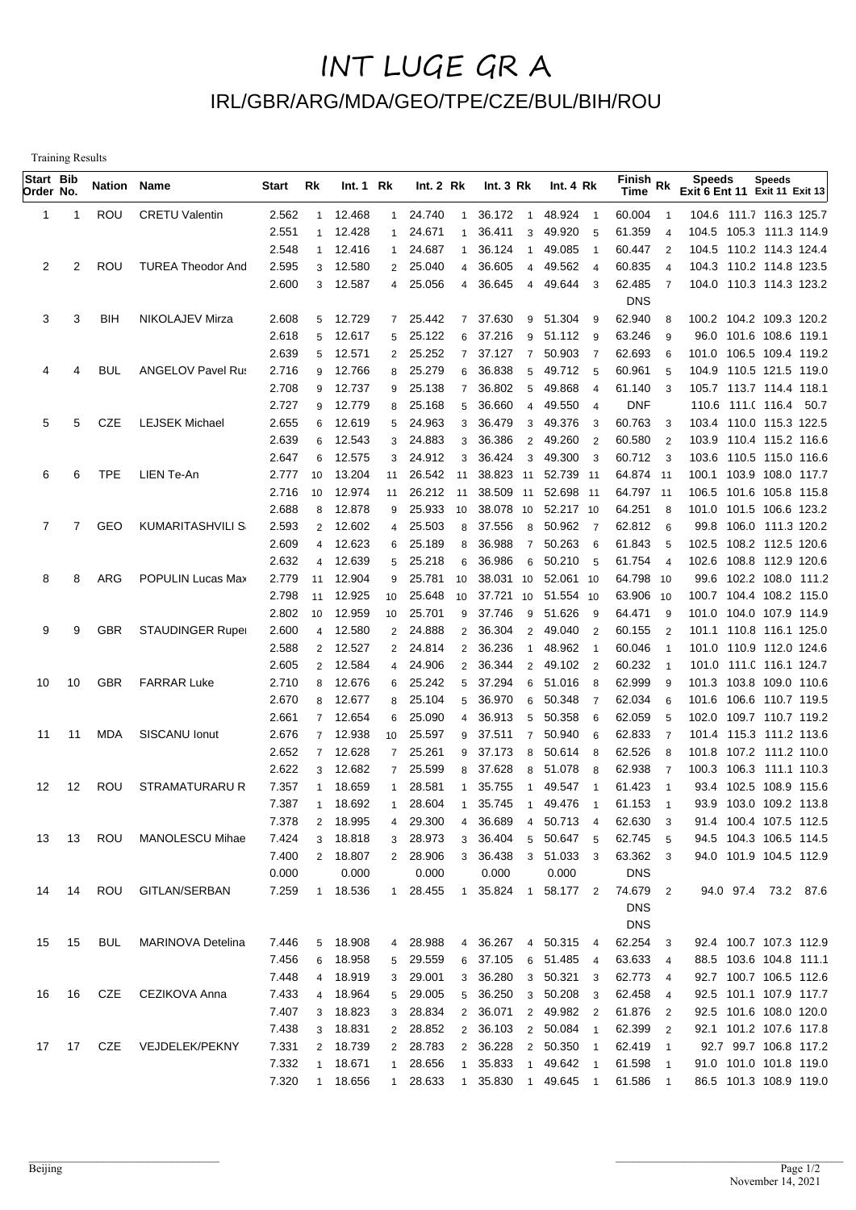## INT LUGE GR A IRL/GBR/ARG/MDA/GEO/TPE/CZE/BUL/BIH/ROU

Training Results

| Start Bib<br>Order No. |                | Nation Name |                          | Start          | Rk             | Int.1 Rk          |                | Int.2 Rk          |                  | Int.3 Rk                      | Int. 4 Rk           |                       | $\overline{\mathsf{Fin}}$ ish Rk<br>Time |                          | <b>Speeds</b><br>Exit 6 Ent 11 Exit 11 Exit 13    |       | <b>Speeds</b>     |  |
|------------------------|----------------|-------------|--------------------------|----------------|----------------|-------------------|----------------|-------------------|------------------|-------------------------------|---------------------|-----------------------|------------------------------------------|--------------------------|---------------------------------------------------|-------|-------------------|--|
| 1                      | -1             | <b>ROU</b>  | <b>CRETU Valentin</b>    | 2.562          | $\mathbf{1}$   | 12.468            | 1              | 24.740            | -1               | 36.172<br>$\overline{1}$      | 48.924 1            |                       | 60.004                                   | $\overline{1}$           | 104.6 111.7 116.3 125.7                           |       |                   |  |
|                        |                |             |                          | 2.551          | $\mathbf{1}$   | 12.428            | 1              | 24.671            | -1               | 36.411<br>3                   | 49.920              | - 5                   | 61.359                                   | $\overline{4}$           | 104.5 105.3 111.3 114.9                           |       |                   |  |
|                        |                |             |                          | 2.548          | $\mathbf{1}$   | 12.416            | $\mathbf{1}$   | 24.687            |                  | 36.124<br>$\mathbf{1}$        | 49.085              | $\overline{1}$        | 60.447                                   | $\overline{2}$           | 104.5 110.2 114.3 124.4                           |       |                   |  |
| 2                      | 2              | ROU         | <b>TUREA Theodor And</b> | 2.595          | 3              | 12.580            | $\overline{2}$ | 25.040            | 4                | 36.605<br>4                   | 49.562              | $\overline{4}$        | 60.835                                   | $\overline{4}$           | 104.3 110.2 114.8 123.5                           |       |                   |  |
|                        |                |             |                          | 2.600          | 3              | 12.587            | $\overline{4}$ | 25.056            | $\overline{4}$   | 36.645<br>$\overline{4}$      | 49.644              | $_{3}$                | 62.485                                   | $\overline{7}$           | 104.0 110.3 114.3 123.2                           |       |                   |  |
|                        |                |             |                          |                |                |                   |                |                   |                  |                               |                     |                       | <b>DNS</b>                               |                          |                                                   |       |                   |  |
| 3                      | 3              | <b>BIH</b>  | NIKOLAJEV Mirza          | 2.608          | 5              | 12.729            | $7^{\circ}$    | 25.442            | $\overline{7}$   | 37.630                        | 9 51.304            | -9                    | 62.940                                   | 8                        | 100.2 104.2 109.3 120.2                           |       |                   |  |
|                        |                |             |                          | 2.618          | 5              | 12.617            | 5              | 25.122            | 6                | 37.216<br>9                   | 51.112              | - 9                   | 63.246                                   | 9                        | 96.0 101.6 108.6 119.1                            |       |                   |  |
|                        |                |             |                          | 2.639          | 5              | 12.571            | $\overline{2}$ | 25.252            | $\overline{7}$   | 37.127<br>$\overline{7}$      | 50.903              | $\overline{7}$        | 62.693                                   | 6                        | 101.0 106.5 109.4 119.2                           |       |                   |  |
| 4                      | 4              | <b>BUL</b>  | <b>ANGELOV Pavel Rus</b> | 2.716          | 9              | 12.766            | 8              | 25.279            | 6                | 36.838<br>5                   | 49.712 5            |                       | 60.961                                   | 5                        | 104.9 110.5 121.5 119.0                           |       |                   |  |
|                        |                |             |                          | 2.708<br>2.727 | 9              | 12.737<br>12.779  | 9              | 25.138<br>25.168  | $\overline{7}$   | 36.802<br>5<br>36.660         | 49.868<br>49.550    | $\overline{4}$        | 61.140                                   | 3                        | 105.7 113.7 114.4 118.1                           |       |                   |  |
| 5                      | 5              | CZE         | <b>LEJSEK Michael</b>    | 2.655          | 9<br>6         | 12.619            | 8<br>5         | 24.963            | 5<br>3           | $\overline{4}$<br>36.479<br>3 | 49.376              | $\overline{4}$<br>- 3 | <b>DNF</b><br>60.763                     | 3                        | 110.6 111.( 116.4 50.7<br>103.4 110.0 115.3 122.5 |       |                   |  |
|                        |                |             |                          | 2.639          | 6              | 12.543            | 3              | 24.883            | 3                | 36.386<br>$\overline{2}$      | 49.260              | $\overline{2}$        | 60.580                                   | $\overline{2}$           | 103.9 110.4 115.2 116.6                           |       |                   |  |
|                        |                |             |                          | 2.647          | 6              | 12.575            | 3              | 24.912            | 3                | 36.424<br>3                   | 49.300              | - 3                   | 60.712                                   | 3                        | 103.6 110.5 115.0 116.6                           |       |                   |  |
| 6                      | 6              | <b>TPE</b>  | LIEN Te-An               | 2.777          | 10             | 13.204            | 11             | 26.542            | 11               | 38.823 11                     | 52.739 11           |                       | 64.874 11                                |                          | 100.1 103.9 108.0 117.7                           |       |                   |  |
|                        |                |             |                          | 2.716          | 10             | 12.974            | 11             | 26.212 11         |                  | 38.509 11                     | 52.698 11           |                       | 64.797 11                                |                          | 106.5 101.6 105.8 115.8                           |       |                   |  |
|                        |                |             |                          | 2.688          | 8              | 12.878            | 9              | 25.933            | 10               | 38.078 10                     | 52.217 10           |                       | 64.251                                   | 8                        | 101.0 101.5 106.6 123.2                           |       |                   |  |
| 7                      | $\overline{7}$ | GEO         | KUMARITASHVILI S         | 2.593          | $\overline{2}$ | 12.602            | $\overline{4}$ | 25.503            | 8                | 37.556<br>8                   | 50.962              | $\overline{7}$        | 62.812                                   | 6                        | 99.8 106.0 111.3 120.2                            |       |                   |  |
|                        |                |             |                          | 2.609          | $\overline{4}$ | 12.623            | 6              | 25.189            | 8                | 36.988<br>$\overline{7}$      | 50.263              | - 6                   | 61.843                                   | 5                        | 102.5                                             |       | 108.2 112.5 120.6 |  |
|                        |                |             |                          | 2.632          | $\overline{4}$ | 12.639            | 5              | 25.218            | 6                | 36.986<br>6                   | 50.210              | - 5                   | 61.754                                   | $\overline{4}$           | 102.6                                             |       | 108.8 112.9 120.6 |  |
| 8                      | 8              | ARG         | POPULIN Lucas Max        | 2.779          | 11             | 12.904            | 9              | 25.781            | 10               | 38.031 10                     | 52.061 10           |                       | 64.798 10                                |                          | 99.6                                              |       | 102.2 108.0 111.2 |  |
|                        |                |             |                          | 2.798          | 11             | 12.925            | 10             | 25.648            | 10               | 37.721<br>10                  | 51.554 10           |                       | 63.906                                   | 10                       | 100.7 104.4 108.2 115.0                           |       |                   |  |
|                        |                |             |                          | 2.802          | 10             | 12.959            | 10             | 25.701            | 9                | 37.746<br>9                   | 51.626              | - 9                   | 64.471                                   | 9                        | 101.0 104.0 107.9 114.9                           |       |                   |  |
| 9                      | 9              | <b>GBR</b>  | <b>STAUDINGER Ruper</b>  | 2.600          | $\overline{4}$ | 12.580            | $\overline{2}$ | 24.888            | $\overline{2}$   | 36.304<br>2                   | 49.040              | $\overline{2}$        | 60.155                                   | $\overline{2}$           | 101.1 110.8 116.1 125.0                           |       |                   |  |
|                        |                |             |                          | 2.588          | 2              | 12.527            |                | 2 24.814          | $\overline{2}$   | 36.236<br>1                   | 48.962              | $\overline{1}$        | 60.046                                   | -1                       | 101.0 110.9 112.0 124.6                           |       |                   |  |
|                        |                |             |                          | 2.605          | 2              | 12.584            | $\overline{4}$ | 24.906            | $\overline{2}$   | 36.344<br>$\overline{2}$      | 49.102              | $\overline{2}$        | 60.232                                   | -1                       | 101.0 111.0 116.1 124.7                           |       |                   |  |
| 10                     | 10             | <b>GBR</b>  | <b>FARRAR Luke</b>       | 2.710          | 8              | 12.676            | 6              | 25.242            | 5                | 37.294<br>6                   | 51.016              | - 8                   | 62.999                                   | 9                        | 101.3 103.8 109.0 110.6                           |       |                   |  |
|                        |                |             |                          | 2.670          | 8              | 12.677            | 8              | 25.104            | 5                | 36.970<br>6                   | 50.348              | 7                     | 62.034                                   | 6                        | 101.6                                             | 106.6 | 110.7 119.5       |  |
|                        |                |             |                          | 2.661          | $\overline{7}$ | 12.654            | 6              | 25.090            | $\boldsymbol{4}$ | 36.913<br>5                   | 50.358              | 6                     | 62.059                                   | 5                        | 102.0 109.7 110.7 119.2                           |       |                   |  |
| 11                     | 11             | <b>MDA</b>  | SISCANU Ionut            | 2.676          | $\overline{7}$ | 12.938            | 10             | 25.597            | 9                | 37.511<br>$\overline{7}$      | 50.940              | 6                     | 62.833                                   | $\overline{7}$           | 101.4 115.3 111.2 113.6                           |       |                   |  |
|                        |                |             |                          | 2.652          | $\overline{7}$ | 12.628            | $7^{\circ}$    | 25.261            | 9                | 37.173<br>8                   | 50.614              | 8                     | 62.526                                   | 8                        | 101.8 107.2 111.2 110.0                           |       |                   |  |
|                        |                |             |                          | 2.622          | 3              | 12.682            | $7^{\circ}$    | 25.599            | 8                | 37.628<br>8                   | 51.078              | 8                     | 62.938                                   | 7                        | 100.3 106.3 111.1 110.3                           |       |                   |  |
| 12                     | 12             | ROU         | <b>STRAMATURARU R</b>    | 7.357          | $\mathbf{1}$   | 18.659            | $\mathbf{1}$   | 28.581            | -1               | 35.755<br>1                   | 49.547              | $\mathbf{1}$          | 61.423                                   | $\overline{1}$           | 93.4 102.5                                        |       | 108.9 115.6       |  |
|                        |                |             |                          | 7.387          | $\mathbf{1}$   | 18.692            | $\mathbf{1}$   | 28.604            | $\mathbf{1}$     | 35.745<br>$\overline{1}$      | 49.476              | $\overline{1}$        | 61.153                                   | $\overline{1}$           | 93.9 103.0 109.2 113.8                            |       |                   |  |
|                        |                |             |                          | 7.378          | $\overline{2}$ | 18.995            | $\overline{4}$ | 29.300            | 4                | 36.689                        | 4 50.713 4          |                       | 62.630                                   | 3                        | 91.4 100.4 107.5 112.5                            |       |                   |  |
| 13                     | 13             | ROU         | MANOLESCU Mihae          | 7.424          | 3              | 18.818            | 3              | 28.973            |                  | 3 36.404                      | 5 50.647 5          |                       | 62.745                                   | 5                        | 94.5 104.3 106.5 114.5                            |       |                   |  |
|                        |                |             |                          | 7.400<br>0.000 |                | 2 18.807<br>0.000 |                | 2 28.906<br>0.000 |                  | 3 36.438<br>0.000             | 3 51.033 3<br>0.000 |                       | 63.362<br><b>DNS</b>                     | 3                        | 94.0 101.9 104.5 112.9                            |       |                   |  |
| 14                     | 14             | ROU         | GITLAN/SERBAN            | 7.259          |                | 1 18.536          | 1              | 28.455            | $\overline{1}$   | 35.824                        | 1 58.177 2          |                       | 74.679                                   | $\overline{2}$           | 94.0 97.4 73.2 87.6                               |       |                   |  |
|                        |                |             |                          |                |                |                   |                |                   |                  |                               |                     |                       | <b>DNS</b>                               |                          |                                                   |       |                   |  |
|                        |                |             |                          |                |                |                   |                |                   |                  |                               |                     |                       | <b>DNS</b>                               |                          |                                                   |       |                   |  |
| 15                     | 15             | <b>BUL</b>  | <b>MARINOVA Detelina</b> | 7.446          | 5              | 18.908            |                | 4 28.988          |                  | 4 36.267                      | 4 50.315 4          |                       | 62.254 3                                 |                          | 92.4 100.7 107.3 112.9                            |       |                   |  |
|                        |                |             |                          | 7.456          | 6              | 18.958            |                | 5 29.559          |                  | 6 37.105                      | 6 51.485 4          |                       | 63.633                                   | $\overline{4}$           | 88.5 103.6 104.8 111.1                            |       |                   |  |
|                        |                |             |                          | 7.448          | $\overline{4}$ | 18.919            | 3 <sup>1</sup> | 29.001            |                  | 3 36.280                      | 3 50.321 3          |                       | 62.773 4                                 |                          | 92.7 100.7 106.5 112.6                            |       |                   |  |
| 16                     | 16             | CZE         | CEZIKOVA Anna            | 7.433          | $\overline{4}$ | 18.964            |                | 5 29.005          |                  | 5 36.250 3 50.208 3           |                     |                       | 62.458 4                                 |                          | 92.5 101.1 107.9 117.7                            |       |                   |  |
|                        |                |             |                          | 7.407          | 3 <sup>1</sup> | 18.823            |                | 3 28.834          |                  | 2 36.071 2 49.982 2           |                     |                       | 61.876                                   | $\overline{\phantom{a}}$ | 92.5 101.6 108.0 120.0                            |       |                   |  |
|                        |                |             |                          | 7.438          | 3              | 18.831            |                | 2 28.852          |                  | 2 36.103 2 50.084 1           |                     |                       | 62.399                                   | $\overline{2}$           | 92.1 101.2 107.6 117.8                            |       |                   |  |
|                        | 17 17          | CZE         | VEJDELEK/PEKNY           | 7.331          | $\overline{2}$ | 18.739            |                | 2 28.783          |                  | 2 36.228 2 50.350 1           |                     |                       | 62.419                                   | $\overline{\phantom{0}}$ | 92.7 99.7 106.8 117.2                             |       |                   |  |
|                        |                |             |                          | 7.332          | $\mathbf{1}$   | 18.671            | 1              | 28.656            | $\overline{1}$   | 35.833                        | 1 49.642 1          |                       | 61.598                                   | $\overline{1}$           | 91.0 101.0 101.8 119.0                            |       |                   |  |
|                        |                |             |                          | 7.320          |                | 1 18.656          | $\mathbf{1}$   | 28.633            | $\overline{1}$   | 35.830 1 49.645 1             |                     |                       | 61.586                                   | $\overline{\phantom{1}}$ | 86.5 101.3 108.9 119.0                            |       |                   |  |
|                        |                |             |                          |                |                |                   |                |                   |                  |                               |                     |                       |                                          |                          |                                                   |       |                   |  |